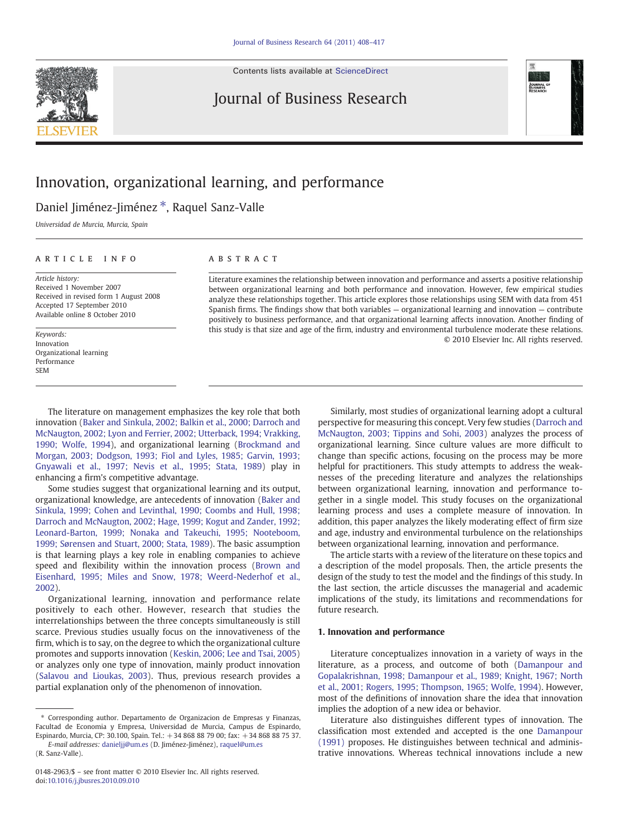Contents lists available at [ScienceDirect](http://www.sciencedirect.com/science/journal/01482963)





## Innovation, organizational learning, and performance

Daniel Jiménez-Jiménez \*, Raquel Sanz-Valle

Universidad de Murcia, Murcia, Spain

## ARTICLE INFO ABSTRACT

Article history: Received 1 November 2007 Received in revised form 1 August 2008 Accepted 17 September 2010 Available online 8 October 2010

Keywords: Innovation Organizational learning Performance SEM

Literature examines the relationship between innovation and performance and asserts a positive relationship between organizational learning and both performance and innovation. However, few empirical studies analyze these relationships together. This article explores those relationships using SEM with data from 451 Spanish firms. The findings show that both variables — organizational learning and innovation — contribute positively to business performance, and that organizational learning affects innovation. Another finding of this study is that size and age of the firm, industry and environmental turbulence moderate these relations. © 2010 Elsevier Inc. All rights reserved.

The literature on management emphasizes the key role that both innovation ([Baker and Sinkula, 2002; Balkin et al., 2000; Darroch and](#page--1-0) [McNaugton, 2002; Lyon and Ferrier, 2002; Utterback, 1994; Vrakking,](#page--1-0) [1990; Wolfe, 1994\)](#page--1-0), and organizational learning ([Brockmand and](#page--1-0) [Morgan, 2003; Dodgson, 1993; Fiol and Lyles, 1985; Garvin, 1993;](#page--1-0) [Gnyawali et al., 1997; Nevis et al., 1995; Stata, 1989\)](#page--1-0) play in enhancing a firm's competitive advantage.

Some studies suggest that organizational learning and its output, organizational knowledge, are antecedents of innovation [\(Baker and](#page--1-0) [Sinkula, 1999; Cohen and Levinthal, 1990; Coombs and Hull, 1998;](#page--1-0) [Darroch and McNaugton, 2002; Hage, 1999; Kogut and Zander, 1992;](#page--1-0) [Leonard-Barton, 1999; Nonaka and Takeuchi, 1995; Nooteboom,](#page--1-0) [1999; Sørensen and Stuart, 2000; Stata, 1989\)](#page--1-0). The basic assumption is that learning plays a key role in enabling companies to achieve speed and flexibility within the innovation process [\(Brown and](#page--1-0) [Eisenhard, 1995; Miles and Snow, 1978; Weerd-Nederhof et al.,](#page--1-0) [2002\)](#page--1-0).

Organizational learning, innovation and performance relate positively to each other. However, research that studies the interrelationships between the three concepts simultaneously is still scarce. Previous studies usually focus on the innovativeness of the firm, which is to say, on the degree to which the organizational culture promotes and supports innovation [\(Keskin, 2006; Lee and Tsai, 2005](#page--1-0)) or analyzes only one type of innovation, mainly product innovation [\(Salavou and Lioukas, 2003\)](#page--1-0). Thus, previous research provides a partial explanation only of the phenomenon of innovation.

Similarly, most studies of organizational learning adopt a cultural perspective for measuring this concept. Very few studies [\(Darroch and](#page--1-0) [McNaugton, 2003; Tippins and Sohi, 2003](#page--1-0)) analyzes the process of organizational learning. Since culture values are more difficult to change than specific actions, focusing on the process may be more helpful for practitioners. This study attempts to address the weaknesses of the preceding literature and analyzes the relationships between organizational learning, innovation and performance together in a single model. This study focuses on the organizational learning process and uses a complete measure of innovation. In addition, this paper analyzes the likely moderating effect of firm size and age, industry and environmental turbulence on the relationships between organizational learning, innovation and performance.

The article starts with a review of the literature on these topics and a description of the model proposals. Then, the article presents the design of the study to test the model and the findings of this study. In the last section, the article discusses the managerial and academic implications of the study, its limitations and recommendations for future research.

#### 1. Innovation and performance

Literature conceptualizes innovation in a variety of ways in the literature, as a process, and outcome of both [\(Damanpour and](#page--1-0) [Gopalakrishnan, 1998; Damanpour et al., 1989; Knight, 1967; North](#page--1-0) [et al., 2001; Rogers, 1995; Thompson, 1965; Wolfe, 1994](#page--1-0)). However, most of the definitions of innovation share the idea that innovation implies the adoption of a new idea or behavior.

Literature also distinguishes different types of innovation. The classification most extended and accepted is the one [Damanpour](#page--1-0) [\(1991\)](#page--1-0) proposes. He distinguishes between technical and administrative innovations. Whereas technical innovations include a new

<sup>⁎</sup> Corresponding author. Departamento de Organizacion de Empresas y Finanzas, Facultad de Economia y Empresa, Universidad de Murcia, Campus de Espinardo, Espinardo, Murcia, CP: 30.100, Spain. Tel.: +34 868 88 79 00; fax: +34 868 88 75 37.

E-mail addresses: [danieljj@um.es](mailto:danieljj@um.es) (D. Jiménez-Jiménez), [raquel@um.es](mailto:raquel@um.es) (R. Sanz-Valle).

<sup>0148-2963/\$</sup> – see front matter © 2010 Elsevier Inc. All rights reserved. doi[:10.1016/j.jbusres.2010.09.010](http://dx.doi.org/10.1016/j.jbusres.2010.09.010)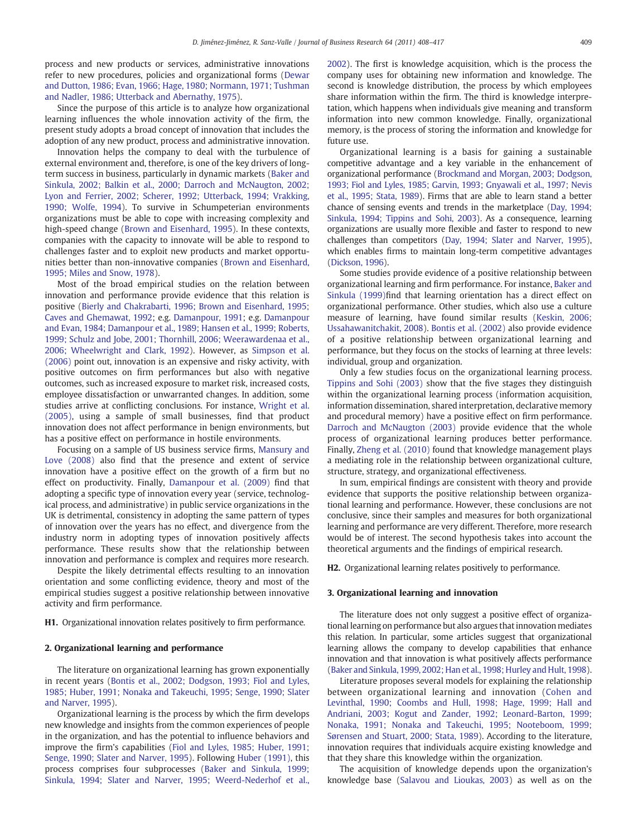process and new products or services, administrative innovations refer to new procedures, policies and organizational forms ([Dewar](#page--1-0) [and Dutton, 1986; Evan, 1966; Hage, 1980; Normann, 1971; Tushman](#page--1-0) [and Nadler, 1986; Utterback and Abernathy, 1975\)](#page--1-0).

Since the purpose of this article is to analyze how organizational learning influences the whole innovation activity of the firm, the present study adopts a broad concept of innovation that includes the adoption of any new product, process and administrative innovation.

Innovation helps the company to deal with the turbulence of external environment and, therefore, is one of the key drivers of longterm success in business, particularly in dynamic markets [\(Baker and](#page--1-0) [Sinkula, 2002; Balkin et al., 2000; Darroch and McNaugton, 2002;](#page--1-0) [Lyon and Ferrier, 2002; Scherer, 1992; Utterback, 1994; Vrakking,](#page--1-0) [1990; Wolfe, 1994](#page--1-0)). To survive in Schumpeterian environments organizations must be able to cope with increasing complexity and high-speed change [\(Brown and Eisenhard, 1995](#page--1-0)). In these contexts, companies with the capacity to innovate will be able to respond to challenges faster and to exploit new products and market opportunities better than non-innovative companies ([Brown and Eisenhard,](#page--1-0) [1995; Miles and Snow, 1978](#page--1-0)).

Most of the broad empirical studies on the relation between innovation and performance provide evidence that this relation is positive ([Bierly and Chakrabarti, 1996; Brown and Eisenhard, 1995;](#page--1-0) [Caves and Ghemawat, 1992;](#page--1-0) e.g. [Damanpour, 1991](#page--1-0); e.g. [Damanpour](#page--1-0) [and Evan, 1984; Damanpour et al., 1989; Hansen et al., 1999; Roberts,](#page--1-0) [1999; Schulz and Jobe, 2001; Thornhill, 2006; Weerawardenaa et al.,](#page--1-0) [2006; Wheelwright and Clark, 1992\)](#page--1-0). However, as [Simpson et al.](#page--1-0) [\(2006\)](#page--1-0) point out, innovation is an expensive and risky activity, with positive outcomes on firm performances but also with negative outcomes, such as increased exposure to market risk, increased costs, employee dissatisfaction or unwarranted changes. In addition, some studies arrive at conflicting conclusions. For instance, [Wright et al.](#page--1-0) [\(2005\)](#page--1-0), using a sample of small businesses, find that product innovation does not affect performance in benign environments, but has a positive effect on performance in hostile environments.

Focusing on a sample of US business service firms, [Mansury and](#page--1-0) [Love \(2008\)](#page--1-0) also find that the presence and extent of service innovation have a positive effect on the growth of a firm but no effect on productivity. Finally, [Damanpour et al. \(2009\)](#page--1-0) find that adopting a specific type of innovation every year (service, technological process, and administrative) in public service organizations in the UK is detrimental, consistency in adopting the same pattern of types of innovation over the years has no effect, and divergence from the industry norm in adopting types of innovation positively affects performance. These results show that the relationship between innovation and performance is complex and requires more research.

Despite the likely detrimental effects resulting to an innovation orientation and some conflicting evidence, theory and most of the empirical studies suggest a positive relationship between innovative activity and firm performance.

H1. Organizational innovation relates positively to firm performance.

#### 2. Organizational learning and performance

The literature on organizational learning has grown exponentially in recent years [\(Bontis et al., 2002; Dodgson, 1993; Fiol and Lyles,](#page--1-0) [1985; Huber, 1991; Nonaka and Takeuchi, 1995; Senge, 1990; Slater](#page--1-0) [and Narver, 1995\)](#page--1-0).

Organizational learning is the process by which the firm develops new knowledge and insights from the common experiences of people in the organization, and has the potential to influence behaviors and improve the firm's capabilities ([Fiol and Lyles, 1985; Huber, 1991;](#page--1-0) [Senge, 1990; Slater and Narver, 1995\)](#page--1-0). Following [Huber \(1991\),](#page--1-0) this process comprises four subprocesses [\(Baker and Sinkula, 1999;](#page--1-0) [Sinkula, 1994; Slater and Narver, 1995; Weerd-Nederhof et al.,](#page--1-0) [2002\)](#page--1-0). The first is knowledge acquisition, which is the process the company uses for obtaining new information and knowledge. The second is knowledge distribution, the process by which employees share information within the firm. The third is knowledge interpretation, which happens when individuals give meaning and transform information into new common knowledge. Finally, organizational memory, is the process of storing the information and knowledge for future use.

Organizational learning is a basis for gaining a sustainable competitive advantage and a key variable in the enhancement of organizational performance [\(Brockmand and Morgan, 2003; Dodgson,](#page--1-0) [1993; Fiol and Lyles, 1985; Garvin, 1993; Gnyawali et al., 1997; Nevis](#page--1-0) [et al., 1995; Stata, 1989](#page--1-0)). Firms that are able to learn stand a better chance of sensing events and trends in the marketplace [\(Day, 1994;](#page--1-0) [Sinkula, 1994; Tippins and Sohi, 2003](#page--1-0)). As a consequence, learning organizations are usually more flexible and faster to respond to new challenges than competitors [\(Day, 1994; Slater and Narver, 1995](#page--1-0)), which enables firms to maintain long-term competitive advantages [\(Dickson, 1996\)](#page--1-0).

Some studies provide evidence of a positive relationship between organizational learning and firm performance. For instance, [Baker and](#page--1-0) [Sinkula \(1999\)](#page--1-0)find that learning orientation has a direct effect on organizational performance. Other studies, which also use a culture measure of learning, have found similar results ([Keskin, 2006;](#page--1-0) [Ussahawanitchakit, 2008](#page--1-0)). [Bontis et al. \(2002\)](#page--1-0) also provide evidence of a positive relationship between organizational learning and performance, but they focus on the stocks of learning at three levels: individual, group and organization.

Only a few studies focus on the organizational learning process. [Tippins and Sohi \(2003\)](#page--1-0) show that the five stages they distinguish within the organizational learning process (information acquisition, information dissemination, shared interpretation, declarative memory and procedural memory) have a positive effect on firm performance. [Darroch and McNaugton \(2003\)](#page--1-0) provide evidence that the whole process of organizational learning produces better performance. Finally, [Zheng et al. \(2010\)](#page--1-0) found that knowledge management plays a mediating role in the relationship between organizational culture, structure, strategy, and organizational effectiveness.

In sum, empirical findings are consistent with theory and provide evidence that supports the positive relationship between organizational learning and performance. However, these conclusions are not conclusive, since their samples and measures for both organizational learning and performance are very different. Therefore, more research would be of interest. The second hypothesis takes into account the theoretical arguments and the findings of empirical research.

H2. Organizational learning relates positively to performance.

### 3. Organizational learning and innovation

The literature does not only suggest a positive effect of organizational learning on performance but also argues that innovation mediates this relation. In particular, some articles suggest that organizational learning allows the company to develop capabilities that enhance innovation and that innovation is what positively affects performance [\(Baker and Sinkula, 1999, 2002; Han et al., 1998; Hurley and Hult, 1998](#page--1-0)).

Literature proposes several models for explaining the relationship between organizational learning and innovation ([Cohen and](#page--1-0) [Levinthal, 1990; Coombs and Hull, 1998; Hage, 1999; Hall and](#page--1-0) [Andriani, 2003; Kogut and Zander, 1992; Leonard-Barton, 1999;](#page--1-0) [Nonaka, 1991; Nonaka and Takeuchi, 1995; Nooteboom, 1999;](#page--1-0) [Sørensen and Stuart, 2000; Stata, 1989\)](#page--1-0). According to the literature, innovation requires that individuals acquire existing knowledge and that they share this knowledge within the organization.

The acquisition of knowledge depends upon the organization's knowledge base ([Salavou and Lioukas, 2003\)](#page--1-0) as well as on the